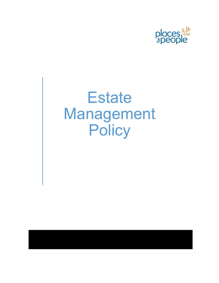

# **Estate** Management **Policy**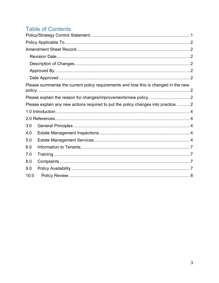# **Table of Contents**

|                                                                                     | Please summarise the current policy requirements and how this is changed in the new |  |
|-------------------------------------------------------------------------------------|-------------------------------------------------------------------------------------|--|
|                                                                                     |                                                                                     |  |
| Please explain any new actions required to put the policy changes into practice.  2 |                                                                                     |  |
|                                                                                     |                                                                                     |  |
|                                                                                     |                                                                                     |  |
| 3.0                                                                                 |                                                                                     |  |
| 4.0                                                                                 |                                                                                     |  |
| 5.0                                                                                 |                                                                                     |  |
| 6.0                                                                                 |                                                                                     |  |
| 7.0                                                                                 |                                                                                     |  |
| 8.0                                                                                 |                                                                                     |  |
| 9.0                                                                                 |                                                                                     |  |
| 10.0                                                                                |                                                                                     |  |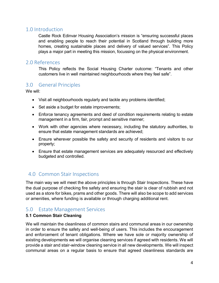### <span id="page-2-0"></span>1.0 Introduction

Castle Rock Edinvar Housing Association's mission is "ensuring successful places and enabling people to reach their potential in Scotland through building more homes, creating sustainable places and delivery of valued services". This Policy plays a major part in meeting this mission, focussing on the physical environment.

#### <span id="page-2-1"></span>2.0 References

This Policy reflects the Social Housing Charter outcome: "Tenants and other customers live in well maintained neighbourhoods where they feel safe".

# <span id="page-2-2"></span>3.0 General Principles

We will:

- Visit all neighbourhoods regularly and tackle any problems identified;
- Set aside a budget for estate improvements;
- Enforce tenancy agreements and deed of condition requirements relating to estate management in a firm, fair, prompt and sensitive manner;
- Work with other agencies where necessary, including the statutory authorities, to ensure that estate management standards are achieved;
- Ensure wherever possible the safety and security of residents and visitors to our property;
- Ensure that estate management services are adequately resourced and effectively budgeted and controlled.

# <span id="page-2-3"></span>4.0 Common Stair Inspections

The main way we will meet the above principles is through Stair Inspections. These have the dual purpose of checking fire safety and ensuring the stair is clear of rubbish and not used as a store for bikes, prams and other goods. There will also be scope to add services or amenities, where funding is available or through charging additional rent.

# <span id="page-2-4"></span>5.0 Estate Management Services

#### **5.1 Common Stair Cleaning**

We will maintain the cleanliness of common stairs and communal areas in our ownership in order to ensure the safety and well-being of users. This includes the encouragement and enforcement of tenant obligations. Where we have sole or majority ownership of existing developments we will organise cleaning services if agreed with residents. We will provide a stair and stair-window cleaning service in all new developments. We will inspect communal areas on a regular basis to ensure that agreed cleanliness standards are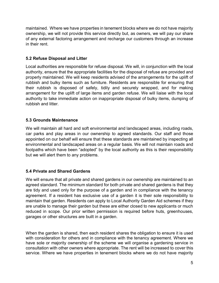maintained. Where we have properties in tenement blocks where we do not have majority ownership, we will not provide this service directly but, as owners, we will pay our share of any external factoring arrangement and recharge our customers through an increase in their rent.

#### **5.2 Refuse Disposal and Litter**

Local authorities are responsible for refuse disposal. We will, in conjunction with the local authority, ensure that the appropriate facilities for the disposal of refuse are provided and properly maintained. We will keep residents advised of the arrangements for the uplift of rubbish and bulky items such as furniture. Residents are responsible for ensuring that their rubbish is disposed of safely, tidily and securely wrapped, and for making arrangement for the uplift of large items and garden refuse. We will liaise with the local authority to take immediate action on inappropriate disposal of bulky items, dumping of rubbish and litter.

#### **5.3 Grounds Maintenance**

We will maintain all hard and soft environmental and landscaped areas, including roads, car parks and play areas in our ownership to agreed standards. Our staff and those appointed on our behalf will ensure that these standards are maintained by inspecting all environmental and landscaped areas on a regular basis. We will not maintain roads and footpaths which have been "adopted" by the local authority as this is their responsibility but we will alert them to any problems.

#### **5.4 Private and Shared Gardens**

We will ensure that all private and shared gardens in our ownership are maintained to an agreed standard. The minimum standard for both private and shared gardens is that they are tidy and used only for the purpose of a garden and in compliance with the tenancy agreement. If a resident has exclusive use of a garden it is their sole responsibility to maintain that garden. Residents can apply to Local Authority Garden Aid schemes if they are unable to manage their garden but these are either closed to new applicants or much reduced in scope. Our prior written permission is required before huts, greenhouses, garages or other structures are built in a garden.

When the garden is shared, then each resident shares the obligation to ensure it is used with consideration for others and in compliance with the tenancy agreement. Where we have sole or majority ownership of the scheme we will organise a gardening service in consultation with other owners where appropriate. The rent will be increased to cover this service. Where we have properties in tenement blocks where we do not have majority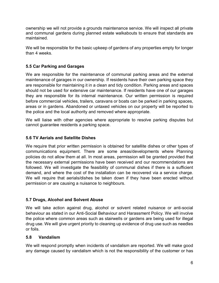ownership we will not provide a grounds maintenance service. We will inspect all private and communal gardens during planned estate walkabouts to ensure that standards are maintained.

We will be responsible for the basic upkeep of gardens of any properties empty for longer than 4 weeks.

#### **5.5 Car Parking and Garages**

We are responsible for the maintenance of communal parking areas and the external maintenance of garages in our ownership. If residents have their own parking space they are responsible for maintaining it in a clean and tidy condition. Parking areas and spaces should not be used for extensive car maintenance. If residents have one of our garages they are responsible for its internal maintenance. Our written permission is required before commercial vehicles, trailers, caravans or boats can be parked in parking spaces, areas or in gardens. Abandoned or untaxed vehicles on our property will be reported to the police and the local authority and removed where appropriate.

We will liaise with other agencies where appropriate to resolve parking disputes but cannot guarantee residents a parking space.

#### **5.6 TV Aerials and Satellite Dishes**

We require that prior written permission is obtained for satellite dishes or other types of communications equipment. There are some areas/developments where Planning policies do not allow them at all. In most areas, permission will be granted provided that the necessary external permissions have been received and our recommendations are followed. We will investigate the feasibility of communal dishes if there is a sufficient demand, and where the cost of the installation can be recovered via a service charge. We will require that aerials/dishes be taken down if they have been erected without permission or are causing a nuisance to neighbours.

#### **5.7 Drugs, Alcohol and Solvent Abuse**

We will take action against drug, alcohol or solvent related nuisance or anti-social behaviour as stated in our Anti-Social Behaviour and Harassment Policy. We will involve the police where common areas such as stairwells or gardens are being used for illegal drug use. We will give urgent priority to cleaning up evidence of drug use such as needles or foils.

#### **5.8 Vandalism**

We will respond promptly when incidents of vandalism are reported. We will make good any damage caused by vandalism which is not the responsibility of the customer or has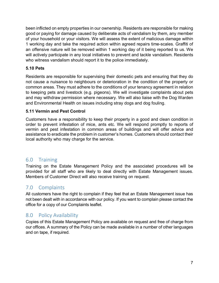been inflicted on empty properties in our ownership. Residents are responsible for making good or paying for damage caused by deliberate acts of vandalism by them, any member of your household or your visitors. We will assess the extent of malicious damage within 1 working day and take the required action within agreed repairs time-scales. Graffiti of an offensive nature will be removed within 1 working day of it being reported to us. We will actively participate in any local initiatives to prevent and tackle vandalism. Residents who witness vandalism should report it to the police immediately.

#### **5.10 Pets**

Residents are responsible for supervising their domestic pets and ensuring that they do not cause a nuisance to neighbours or deterioration in the condition of the property or common areas. They must adhere to the conditions of your tenancy agreement in relation to keeping pets and livestock (e.g. pigeons). We will investigate complaints about pets and may withdraw permission where necessary. We will also liaise with the Dog Warden and Environmental Health on issues including stray dogs and dog fouling.

#### **5.11 Vermin and Pest Control**

Customers have a responsibility to keep their property in a good and clean condition in order to prevent infestation of mice, ants etc. We will respond promptly to reports of vermin and pest infestation in common areas of buildings and will offer advice and assistance to eradicate the problem in customer's homes. Customers should contact their local authority who may charge for the service.

# <span id="page-5-0"></span>6.0 Training

Training on the Estate Management Policy and the associated procedures will be provided for all staff who are likely to deal directly with Estate Management issues. Members of Customer Direct will also receive training on request.

# <span id="page-5-1"></span>7.0 Complaints

All customers have the right to complain if they feel that an Estate Management issue has not been dealt with in accordance with our policy. If you want to complain please contact the office for a copy of our Complaints leaflet.

# <span id="page-5-2"></span>8.0 Policy Availability

Copies of this Estate Management Policy are available on request and free of charge from our offices. A summary of the Policy can be made available in a number of other languages and on tape, if required.